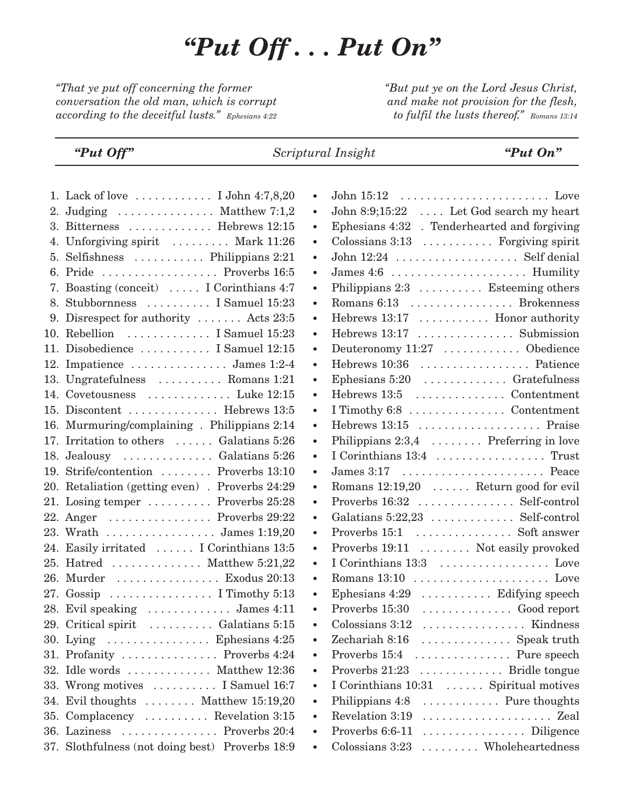## *"Put Off . . . Put On"*

*"That ye put off concerning the former conversation the old man, which is corrupt according to the deceitful lusts." Ephesians 4:22* *"But put ye on the Lord Jesus Christ, and make not provision for the flesh, to fulfil the lusts thereof." Romans 13:14*

*"Put Off" Scriptural Insight "Put On"*

|    | 1. Lack of love $\dots \dots \dots$ I John 4:7,8,20    |           |                                              |
|----|--------------------------------------------------------|-----------|----------------------------------------------|
|    | 2. Judging $\dots \dots \dots \dots$ . Matthew 7:1,2   | $\bullet$ | John 8:9;15:22  Let God search my heart      |
|    | 3. Bitterness  Hebrews 12:15                           | $\bullet$ | Ephesians 4:32 . Tenderhearted and forgiving |
|    | 4. Unforgiving spirit  Mark 11:26                      | ٠         | Colossians 3:13  Forgiving spirit            |
|    | 5. Selfishness $\dots \dots \dots$ . Philippians 2:21  | $\bullet$ | John 12:24 Self denial                       |
|    | 6. Pride  Proverbs 16:5                                | $\bullet$ |                                              |
| 7. | Boasting (conceit)  I Corinthians 4:7                  | $\bullet$ | Philippians 2:3 Esteeming others             |
|    | 8. Stubbornness  I Samuel 15:23                        |           | Romans 6:13  Brokenness                      |
|    | 9. Disrespect for authority $\dots$ . Acts 23:5        | $\bullet$ | Hebrews 13:17  Honor authority               |
|    | 10. Rebellion  I Samuel 15:23                          | $\bullet$ | Hebrews 13:17  Submission                    |
|    | 11. Disobedience  I Samuel 12:15                       | $\bullet$ | Deuteronomy 11:27  Obedience                 |
|    | 12. Impatience $\dots \dots \dots \dots$ James 1:2-4   | $\bullet$ | Hebrews 10:36  Patience                      |
|    | 13. Ungratefulness  Romans 1:21                        | $\bullet$ | Ephesians 5:20  Gratefulness                 |
|    | 14. Covetousness  Luke 12:15                           | $\bullet$ | Hebrews 13:5  Contentment                    |
|    | 15. Discontent  Hebrews 13:5                           | $\bullet$ | I Timothy 6:8 Contentment                    |
|    | 16. Murmuring/complaining. Philippians 2:14            | $\bullet$ | Hebrews 13:15  Praise                        |
|    | 17. Irritation to others  Galatians 5:26               | $\bullet$ | Philippians 2:3,4 Preferring in love         |
|    | 18. Jealousy  Galatians 5:26                           | $\bullet$ | I Corinthians 13:4  Trust                    |
|    | 19. Strife/contention  Proverbs 13:10                  | $\bullet$ | James 3:17  Peace                            |
|    | 20. Retaliation (getting even) . Proverbs 24:29        | $\bullet$ | Romans 12:19,20 Return good for evil         |
|    | 21. Losing temper  Proverbs 25:28                      | $\bullet$ | Proverbs 16:32  Self-control                 |
|    | 22. Anger $\dots \dots \dots \dots$ Proverbs 29:22     | $\bullet$ | Galatians 5:22,23  Self-control              |
|    | 23. Wrath  James 1:19,20                               | $\bullet$ | Proverbs 15:1  Soft answer                   |
|    | 24. Easily irritated  I Corinthians 13:5               | $\bullet$ | Proverbs 19:11  Not easily provoked          |
|    | 25. Hatred $\dots \dots \dots \dots$ . Matthew 5:21,22 | $\bullet$ | I Corinthians 13:3  Love                     |
|    | 26. Murder  Exodus 20:13                               | $\bullet$ |                                              |
|    | 27. $Gossip$ I Timothy 5:13                            | $\bullet$ | Ephesians 4:29  Edifying speech              |
|    | 28. Evil speaking  James 4:11                          | $\bullet$ | Proverbs 15:30  Good report                  |
|    | 29. Critical spirit  Galatians 5:15                    | $\bullet$ | Colossians 3:12  Kindness                    |
|    | 30. Lying $\dots \dots \dots \dots$ . Ephesians 4:25   | $\bullet$ | Zechariah 8:16  Speak truth                  |
|    | 31. Profanity  Proverbs 4:24                           |           | Proverbs 15:4 Pure speech                    |
|    | 32. Idle words  Matthew 12:36                          |           | Proverbs 21:23  Bridle tongue                |
|    | 33. Wrong motives  I Samuel 16:7                       | $\bullet$ | I Corinthians 10:31  Spiritual motives       |
|    | 34. Evil thoughts  Matthew 15:19,20                    | $\bullet$ | Philippians 4:8 Pure thoughts                |
|    | 35. Complacency  Revelation 3:15                       |           | Revelation 3:19                              |
|    | 36. Laziness  Proverbs 20:4                            |           | Proverbs 6:6-11  Diligence                   |
|    | 37. Slothfulness (not doing best) Proverbs 18:9        |           | Colossians 3:23  Wholeheartedness            |
|    |                                                        |           |                                              |

|    | 1. Lack of love  I John 4:7,8,20                               | $\bullet$ |                                              |
|----|----------------------------------------------------------------|-----------|----------------------------------------------|
|    | 2. Judging $\dots \dots \dots \dots$ . Matthew 7:1,2           | $\bullet$ | John 8:9;15:22  Let God search my heart      |
|    | 3. Bitterness $\dots \dots \dots$ . Hebrews 12:15              | $\bullet$ | Ephesians 4:32 . Tenderhearted and forgiving |
|    | 4. Unforgiving spirit  Mark 11:26                              | $\bullet$ | Colossians 3:13 Forgiving spirit             |
|    | 5. Selfishness $\dots \dots \dots$ . Philippians 2:21          | $\bullet$ |                                              |
|    | 6. Pride  Proverbs 16:5                                        | $\bullet$ |                                              |
| 7. | Boasting (conceit)  I Corinthians 4:7                          | $\bullet$ | Philippians 2:3 Esteeming others             |
|    | 8. Stubbornness  I Samuel 15:23                                | $\bullet$ | Romans 6:13  Brokenness                      |
|    | 9. Disrespect for authority $\dots$ Acts 23:5                  | $\bullet$ | Hebrews 13:17  Honor authority               |
|    | 10. Rebellion  I Samuel 15:23                                  | $\bullet$ | Hebrews 13:17  Submission                    |
|    | 11. Disobedience  I Samuel 12:15                               | $\bullet$ | Deuteronomy 11:27  Obedience                 |
|    | 12. Impatience  James 1:2-4                                    | $\bullet$ | Hebrews 10:36  Patience                      |
|    | 13. Ungratefulness  Romans 1:21                                | $\bullet$ | Ephesians 5:20  Gratefulness                 |
|    | 14. Covetousness  Luke 12:15                                   | $\bullet$ | Hebrews 13:5  Contentment                    |
|    | 15. Discontent  Hebrews 13:5                                   | $\bullet$ | I Timothy 6:8 Contentment                    |
|    | 16. Murmuring/complaining. Philippians 2:14                    | $\bullet$ | Hebrews 13:15  Praise                        |
|    | 17. Irritation to others  Galatians 5:26                       | $\bullet$ | Philippians 2:3,4  Preferring in love        |
|    | 18. Jealousy  Galatians 5:26                                   | $\bullet$ |                                              |
|    | 19. Strife/contention  Proverbs 13:10                          | $\bullet$ |                                              |
|    | 20. Retaliation (getting even) . Proverbs 24:29                | $\bullet$ | Romans 12:19,20  Return good for evil        |
|    | 21. Losing temper $\ldots \ldots \ldots$ Proverbs 25:28        | $\bullet$ | Proverbs 16:32  Self-control                 |
|    | 22. Anger $\dots \dots \dots \dots$ Proverbs 29:22             | $\bullet$ | Galatians 5:22,23  Self-control              |
|    | 23. Wrath  James 1:19,20                                       | $\bullet$ | Proverbs 15:1  Soft answer                   |
|    | 24. Easily irritated  I Corinthians 13:5                       | $\bullet$ | Proverbs 19:11  Not easily provoked          |
|    | 25. Hatred  Matthew 5:21,22                                    | $\bullet$ | I Corinthians 13:3 Love                      |
|    | 26. Murder  Exodus 20:13                                       | $\bullet$ |                                              |
|    | 27. Gossip $\ldots \ldots \ldots \ldots \ldots$ I Timothy 5:13 | $\bullet$ | Ephesians $4:29$ Edifying speech             |
|    | 28. Evil speaking  James 4:11                                  | $\bullet$ | Proverbs 15:30  Good report                  |
|    | 29. Critical spirit  Galatians 5:15                            | $\bullet$ | Colossians 3:12  Kindness                    |
|    | 30. Lying $\dots \dots \dots \dots$ . Ephesians 4:25           |           | Zechariah 8:16<br>Speak truth                |
|    | 31. Profanity  Proverbs 4:24                                   | $\bullet$ | Proverbs 15:4  Pure speech                   |
|    | 32. Idle words  Matthew 12:36                                  | $\bullet$ | Proverbs 21:23  Bridle tongue                |
|    | 33. Wrong motives  I Samuel 16:7                               | $\bullet$ | I Corinthians 10:31  Spiritual motives       |
|    | 34. Evil thoughts  Matthew 15:19,20                            | $\bullet$ | Philippians 4:8 Pure thoughts                |
|    | 35. Complacency  Revelation 3:15                               | $\bullet$ |                                              |
|    | 36. Laziness  Proverbs 20:4                                    |           | Proverbs 6:6-11  Diligence                   |
|    | 37. Slothfulness (not doing best) Proverbs 18:9                | $\bullet$ | Colossians 3:23  Wholeheartedness            |